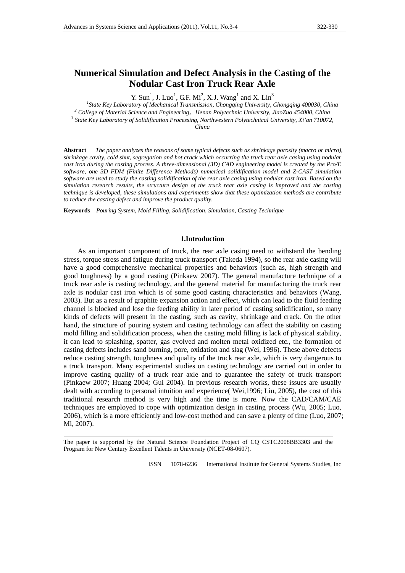# **Numerical Simulation and Defect Analysis in the Casting of the Nodular Cast Iron Truck Rear Axle**

Y. Sun<sup>1</sup>, J. Luo<sup>1</sup>, G.F. Mi<sup>2</sup>, X.J. Wang<sup>1</sup> and X. Lin<sup>3</sup>

<sup>1</sup> State Key Laboratory of Mechanical Transmission, Chongqing University, Chongqing 400030, China <sup>2</sup> College of Meterial Science and Engineering . Hence Beltischije University, Chongqing 454000, China <sup>2</sup> College of Material Science and Engineering, *Henan Polytechnic University*, JiaoZuo 454000, China  *State Key Laboratory of Solidification Processing, Northwestern Polytechnical University, Xi'an 710072, China* 

**Abstract** *The paper analyzes the reasons of some typical defects such as shrinkage porosity (macro or micro), shrinkage cavity, cold shut, segregation and hot crack which occurring the truck rear axle casing using nodular cast iron during the casting process. A three-dimensional (3D) CAD engineering model is created by the Pro/E software, one 3D FDM (Finite Difference Methods) numerical solidification model and Z-CAST simulation software are used to study the casting solidification of the rear axle casing using nodular cast iron. Based on the simulation research results, the structure design of the truck rear axle casing is improved and the casting technique is developed, these simulations and experiments show that these optimization methods are contribute to reduce the casting defect and improve the product quality.* 

**Keywords** *Pouring System, Mold Filling, Solidification, Simulation, Casting Technique*

## **1.Introduction**

As an important component of truck, the rear axle casing need to withstand the bending stress, torque stress and fatigue during truck transport (Takeda 1994), so the rear axle casing will have a good comprehensive mechanical properties and behaviors (such as, high strength and good toughness) by a good casting (Pinkaew 2007). The general manufacture technique of a truck rear axle is casting technology, and the general material for manufacturing the truck rear axle is nodular cast iron which is of some good casting characteristics and behaviors (Wang, 2003). But as a result of graphite expansion action and effect, which can lead to the fluid feeding channel is blocked and lose the feeding ability in later period of casting solidification, so many kinds of defects will present in the casting, such as cavity, shrinkage and crack. On the other hand, the structure of pouring system and casting technology can affect the stability on casting mold filling and solidification process, when the casting mold filling is lack of physical stability, it can lead to splashing, spatter, gas evolved and molten metal oxidized etc., the formation of casting defects includes sand burning, pore, oxidation and slag (Wei, 1996). These above defects reduce casting strength, toughness and quality of the truck rear axle, which is very dangerous to a truck transport. Many experimental studies on casting technology are carried out in order to improve casting quality of a truck rear axle and to guarantee the safety of truck transport (Pinkaew 2007; Huang 2004; Gui 2004). In previous research works, these issues are usually dealt with according to personal intuition and experience( Wei,1996; Liu, 2005), the cost of this traditional research method is very high and the time is more. Now the CAD/CAM/CAE techniques are employed to cope with optimization design in casting process (Wu, 2005; Luo, 2006), which is a more efficiently and low-cost method and can save a plenty of time (Luo, 2007; Mi, 2007).

The paper is supported by the Natural Science Foundation Project of CQ CSTC2008BB3303 and the Program for New Century Excellent Talents in University (NCET-08-0607).

ISSN 1078-6236 International Institute for General Systems Studies, Inc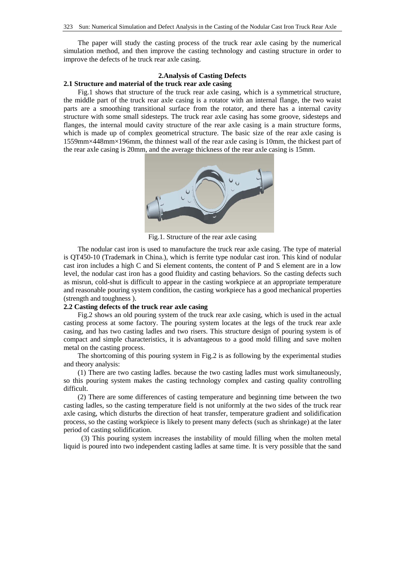The paper will study the casting process of the truck rear axle casing by the numerical simulation method, and then improve the casting technology and casting structure in order to improve the defects of he truck rear axle casing.

# **2.Analysis of Casting Defects**

# **2.1 Structure and material of the truck rear axle casing**

Fig.1 shows that structure of the truck rear axle casing, which is a symmetrical structure, the middle part of the truck rear axle casing is a rotator with an internal flange, the two waist parts are a smoothing transitional surface from the rotator, and there has a internal cavity structure with some small sidesteps. The truck rear axle casing has some groove, sidesteps and flanges, the internal mould cavity structure of the rear axle casing is a main structure forms, which is made up of complex geometrical structure. The basic size of the rear axle casing is 1559mm×448mm×196mm, the thinnest wall of the rear axle casing is 10mm, the thickest part of the rear axle casing is 20mm, and the average thickness of the rear axle casing is 15mm.



Fig.1. Structure of the rear axle casing

The nodular cast iron is used to manufacture the truck rear axle casing. The type of material is QT450-10 (Trademark in China.), which is ferrite type nodular cast iron. This kind of nodular cast iron includes a high C and Si element contents, the content of P and S element are in a low level, the nodular cast iron has a good fluidity and casting behaviors. So the casting defects such as misrun, cold-shut is difficult to appear in the casting workpiece at an appropriate temperature and reasonable pouring system condition, the casting workpiece has a good mechanical properties (strength and toughness ).

#### **2.2 Casting defects of the truck rear axle casing**

Fig.2 shows an old pouring system of the truck rear axle casing, which is used in the actual casting process at some factory. The pouring system locates at the legs of the truck rear axle casing, and has two casting ladles and two risers. This structure design of pouring system is of compact and simple characteristics, it is advantageous to a good mold filling and save molten metal on the casting process.

The shortcoming of this pouring system in Fig.2 is as following by the experimental studies and theory analysis:

(1) There are two casting ladles. because the two casting ladles must work simultaneously, so this pouring system makes the casting technology complex and casting quality controlling difficult.

(2) There are some differences of casting temperature and beginning time between the two casting ladles, so the casting temperature field is not uniformly at the two sides of the truck rear axle casing, which disturbs the direction of heat transfer, temperature gradient and solidification process, so the casting workpiece is likely to present many defects (such as shrinkage) at the later period of casting solidification.

 (3) This pouring system increases the instability of mould filling when the molten metal liquid is poured into two independent casting ladles at same time. It is very possible that the sand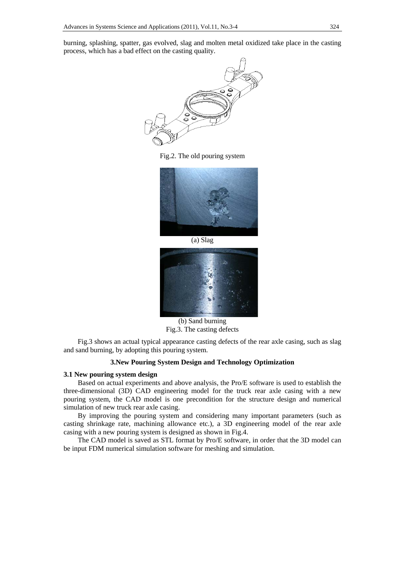burning, splashing, spatter, gas evolved, slag and molten metal oxidized take place in the casting process, which has a bad effect on the casting quality.



Fig.2. The old pouring system



(a) Slag



(b) Sand burning Fig.3. The casting defects

Fig.3 shows an actual typical appearance casting defects of the rear axle casing, such as slag and sand burning, by adopting this pouring system.

# **3.New Pouring System Design and Technology Optimization**

# **3.1 New pouring system design**

Based on actual experiments and above analysis, the Pro/E software is used to establish the three-dimensional (3D) CAD engineering model for the truck rear axle casing with a new pouring system, the CAD model is one precondition for the structure design and numerical simulation of new truck rear axle casing.

By improving the pouring system and considering many important parameters (such as casting shrinkage rate, machining allowance etc.), a 3D engineering model of the rear axle casing with a new pouring system is designed as shown in Fig.4.

The CAD model is saved as STL format by Pro/E software, in order that the 3D model can be input FDM numerical simulation software for meshing and simulation.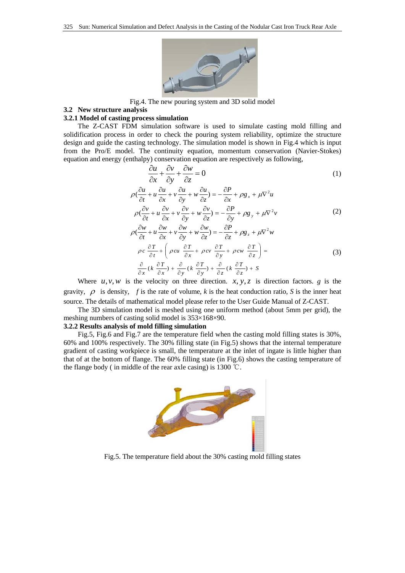

Fig.4. The new pouring system and 3D solid model

# **3.2 New structure analysis**

#### **3.2.1 Model of casting process simulation**

The Z-CAST FDM simulation software is used to simulate casting mold filling and solidification process in order to check the pouring system reliability, optimize the structure design and guide the casting technology. The simulation model is shown in Fig.4 which is input from the Pro/E model. The continuity equation, momentum conservation (Navier-Stokes) equation and energy (enthalpy) conservation equation are respectively as following,

$$
\frac{\partial u}{\partial x} + \frac{\partial v}{\partial y} + \frac{\partial w}{\partial z} = 0
$$
 (1)

$$
\rho\left(\frac{\partial u}{\partial t} + u\frac{\partial u}{\partial x} + v\frac{\partial u}{\partial y} + w\frac{\partial u}{\partial z}\right) = -\frac{\partial P}{\partial x} + \rho g_x + \mu \nabla^2 u
$$
  

$$
\rho\left(\frac{\partial v}{\partial t} + u\frac{\partial v}{\partial x} + v\frac{\partial v}{\partial y} + w\frac{\partial v}{\partial z}\right) = -\frac{\partial P}{\partial y} + \rho g_y + \mu \nabla^2 v
$$
 (2)

$$
\rho\left(\frac{\partial w}{\partial t} + u\frac{\partial w}{\partial x} + v\frac{\partial w}{\partial y} + w\frac{\partial w}{\partial z}\right) = -\frac{\partial P}{\partial z} + \rho g_z + \mu \nabla^2 w
$$
\n
$$
\rho c \frac{\partial T}{\partial t} + \left(\rho c u \frac{\partial T}{\partial x} + \rho c v \frac{\partial T}{\partial y} + \rho c w \frac{\partial T}{\partial z}\right) =
$$
\n
$$
\frac{\partial}{\partial x} (k \frac{\partial T}{\partial x}) + \frac{\partial}{\partial y} (k \frac{\partial T}{\partial y}) + \frac{\partial}{\partial z} (k \frac{\partial T}{\partial z}) + S
$$
\n(3)

Where  $u, v, w$  is the velocity on three direction. *x*, *y*, *z* is direction factors. *g* is the gravity,  $\rho$  is density, f is the rate of volume, k is the heat conduction ratio, S is the inner heat source. The details of mathematical model please refer to the User Guide Manual of Z-CAST.

The 3D simulation model is meshed using one uniform method (about 5mm per grid), the meshing numbers of casting solid model is 353×168×90.

#### **3.2.2 Results analysis of mold filling simulation**

Fig.5, Fig.6 and Fig.7 are the temperature field when the casting mold filling states is 30%, 60% and 100% respectively. The 30% filling state (in Fig.5) shows that the internal temperature gradient of casting workpiece is small, the temperature at the inlet of ingate is little higher than that of at the bottom of flange. The 60% filling state (in Fig.6) shows the casting temperature of the flange body ( in middle of the rear axle casing) is  $1300 \degree$ C.



Fig.5. The temperature field about the 30% casting mold filling states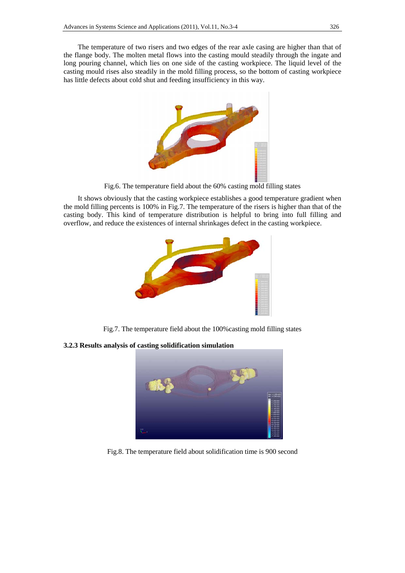The temperature of two risers and two edges of the rear axle casing are higher than that of the flange body. The molten metal flows into the casting mould steadily through the ingate and long pouring channel, which lies on one side of the casting workpiece. The liquid level of the casting mould rises also steadily in the mold filling process, so the bottom of casting workpiece has little defects about cold shut and feeding insufficiency in this way.



Fig.6. The temperature field about the 60% casting mold filling states

It shows obviously that the casting workpiece establishes a good temperature gradient when the mold filling percents is 100% in Fig.7. The temperature of the risers is higher than that of the casting body. This kind of temperature distribution is helpful to bring into full filling and overflow, and reduce the existences of internal shrinkages defect in the casting workpiece.



Fig.7. The temperature field about the 100%casting mold filling states

**3.2.3 Results analysis of casting solidification simulation** 



Fig.8. The temperature field about solidification time is 900 second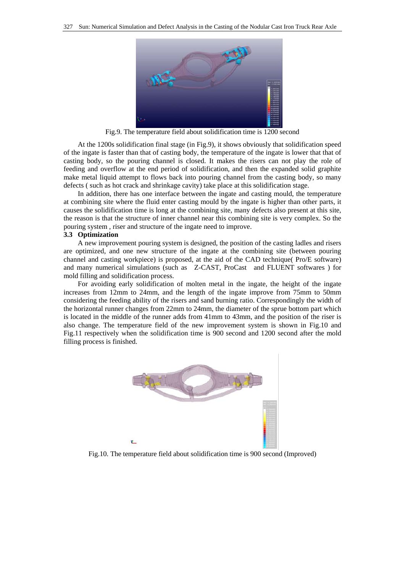

Fig.9. The temperature field about solidification time is 1200 second

At the 1200s solidification final stage (in Fig.9), it shows obviously that solidification speed of the ingate is faster than that of casting body, the temperature of the ingate is lower that that of casting body, so the pouring channel is closed. It makes the risers can not play the role of feeding and overflow at the end period of solidification, and then the expanded solid graphite make metal liquid attempt to flows back into pouring channel from the casting body, so many defects ( such as hot crack and shrinkage cavity) take place at this solidification stage.

In addition, there has one interface between the ingate and casting mould, the temperature at combining site where the fluid enter casting mould by the ingate is higher than other parts, it causes the solidification time is long at the combining site, many defects also present at this site, the reason is that the structure of inner channel near this combining site is very complex. So the pouring system , riser and structure of the ingate need to improve.

# **3.3 Optimization**

A new improvement pouring system is designed, the position of the casting ladles and risers are optimized, and one new structure of the ingate at the combining site (between pouring channel and casting workpiece) is proposed, at the aid of the CAD technique( Pro/E software) and many numerical simulations (such as Z-CAST, ProCast and FLUENT softwares ) for mold filling and solidification process.

For avoiding early solidification of molten metal in the ingate, the height of the ingate increases from 12mm to 24mm, and the length of the ingate improve from 75mm to 50mm considering the feeding ability of the risers and sand burning ratio. Correspondingly the width of the horizontal runner changes from 22mm to 24mm, the diameter of the sprue bottom part which is located in the middle of the runner adds from 41mm to 43mm, and the position of the riser is also change. The temperature field of the new improvement system is shown in Fig.10 and Fig.11 respectively when the solidification time is 900 second and 1200 second after the mold filling process is finished.



Fig.10. The temperature field about solidification time is 900 second (Improved)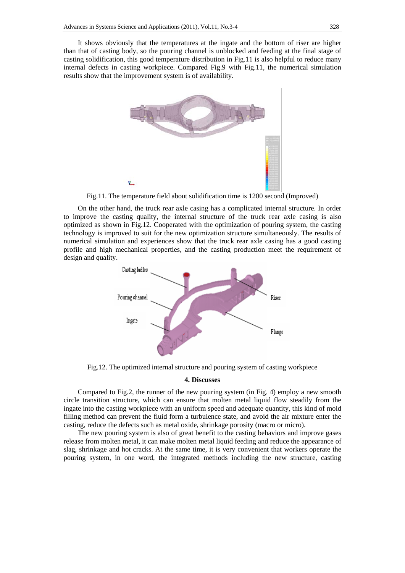It shows obviously that the temperatures at the ingate and the bottom of riser are higher than that of casting body, so the pouring channel is unblocked and feeding at the final stage of casting solidification, this good temperature distribution in Fig.11 is also helpful to reduce many internal defects in casting workpiece. Compared Fig.9 with Fig.11, the numerical simulation results show that the improvement system is of availability.



Fig.11. The temperature field about solidification time is 1200 second (Improved)

On the other hand, the truck rear axle casing has a complicated internal structure. In order to improve the casting quality, the internal structure of the truck rear axle casing is also optimized as shown in Fig.12. Cooperated with the optimization of pouring system, the casting technology is improved to suit for the new optimization structure simultaneously. The results of numerical simulation and experiences show that the truck rear axle casing has a good casting profile and high mechanical properties, and the casting production meet the requirement of design and quality.



Fig.12. The optimized internal structure and pouring system of casting workpiece

#### **4. Discusses**

Compared to Fig.2, the runner of the new pouring system (in Fig. 4) employ a new smooth circle transition structure, which can ensure that molten metal liquid flow steadily from the ingate into the casting workpiece with an uniform speed and adequate quantity, this kind of mold filling method can prevent the fluid form a turbulence state, and avoid the air mixture enter the casting, reduce the defects such as metal oxide, shrinkage porosity (macro or micro).

The new pouring system is also of great benefit to the casting behaviors and improve gases release from molten metal, it can make molten metal liquid feeding and reduce the appearance of slag, shrinkage and hot cracks. At the same time, it is very convenient that workers operate the pouring system, in one word, the integrated methods including the new structure, casting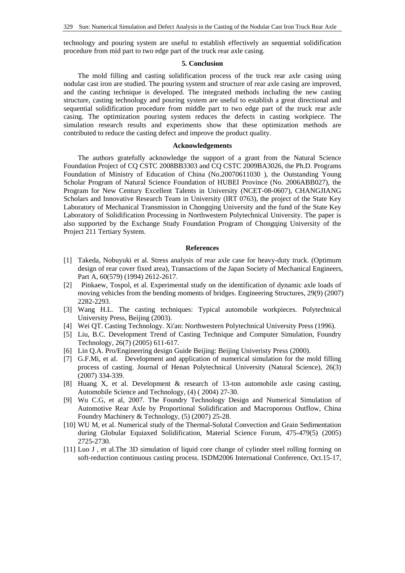technology and pouring system are useful to establish effectively an sequential solidification procedure from mid part to two edge part of the truck rear axle casing.

## **5. Conclusion**

The mold filling and casting solidification process of the truck rear axle casing using nodular cast iron are studied. The pouring system and structure of rear axle casing are improved, and the casting technique is developed. The integrated methods including the new casting structure, casting technology and pouring system are useful to establish a great directional and sequential solidification procedure from middle part to two edge part of the truck rear axle casing. The optimization pouring system reduces the defects in casting workpiece. The simulation research results and experiments show that these optimization methods are contributed to reduce the casting defect and improve the product quality.

# **Acknowledgements**

The authors gratefully acknowledge the support of a grant from the Natural Science Foundation Project of CQ CSTC 2008BB3303 and CQ CSTC 2009BA3026, the Ph.D. Programs Foundation of Ministry of Education of China (No.20070611030 ), the Outstanding Young Scholar Program of Natural Science Foundation of HUBEI Province (No. 2006ABB027), the Program for New Century Excellent Talents in University (NCET-08-0607), CHANGJIANG Scholars and Innovative Research Team in University (IRT 0763), the project of the State Key Laboratory of Mechanical Transmission in Chongqing University and the fund of the State Key Laboratory of Solidification Processing in Northwestern Polytechnical University. The paper is also supported by the Exchange Study Foundation Program of Chongqing University of the Project 211 Tertiary System.

# **References**

- [1] Takeda, Nobuyuki et al. Stress analysis of rear axle case for heavy-duty truck. (Optimum design of rear cover fixed area), Transactions of the Japan Society of Mechanical Engineers, Part A, 60(579) (1994) 2612-2617.
- [2] Pinkaew, Tospol, et al. Experimental study on the identification of dynamic axle loads of moving vehicles from the bending moments of bridges. Engineering Structures, 29(9) (2007) 2282-2293.
- [3] Wang H.L. The casting techniques: Typical automobile workpieces. Polytechnical University Press, Beijing (2003).
- [4] Wei QT. Casting Technology. Xi'an: Northwestern Polytechnical University Press (1996).
- [5] Liu, B.C. Development Trend of Casting Technique and Computer Simulation, Foundry Technology, 26(7) (2005) 611-617.
- [6] Lin Q.A. Pro/Engineering design Guide Beijing: Beijing Univeristy Press (2000).
- [7] G.F.Mi, et al. Development and application of numerical simulation for the mold filling process of casting. Journal of Henan Polytechnical University (Natural Science), 26(3) (2007) 334-339.
- [8] Huang X, et al. Development & research of 13-ton automobile axle casing casting, Automobile Science and Technology, (4) ( 2004) 27-30.
- [9] Wu C.G, et al, 2007. The Foundry Technology Design and Numerical Simulation of Automotive Rear Axle by Proportional Solidification and Macroporous Outflow, China Foundry Machinery & Technology, (5) (2007) 25-28.
- [10] WU M, et al. Numerical study of the Thermal-Solutal Convection and Grain Sedimentation during Globular Equiaxed Solidification, Material Science Forum, 475-479(5) (2005) 2725-2730.
- [11] Luo J , et al.The 3D simulation of liquid core change of cylinder steel rolling forming on soft-reduction continuous casting process. ISDM2006 International Conference, Oct.15-17,